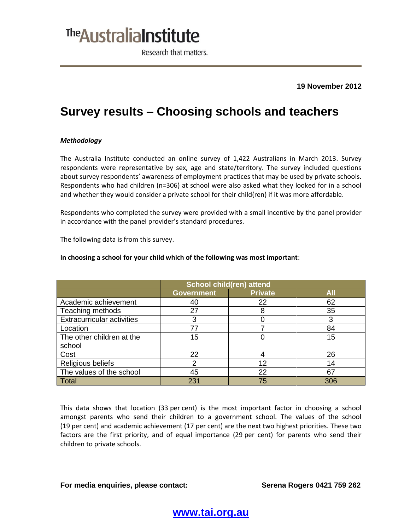## <sup>The</sup> Australia Institute

Research that matters.

**19 November 2012**

## **Survey results – Choosing schools and teachers**

### *Methodology*

The Australia Institute conducted an online survey of 1,422 Australians in March 2013. Survey respondents were representative by sex, age and state/territory. The survey included questions about survey respondents' awareness of employment practices that may be used by private schools. Respondents who had children (n=306) at school were also asked what they looked for in a school and whether they would consider a private school for their child(ren) if it was more affordable.

Respondents who completed the survey were provided with a small incentive by the panel provider in accordance with the panel provider's standard procedures.

The following data is from this survey.

### **School child(ren) attend Government Private All** Academic achievement  $\vert$  40  $\vert$  22  $\vert$  62 Teaching methods  $27$  and  $8$  35 Extracurricular activities  $\begin{array}{ccc} | & 3 & | & 0 & | & 3 \end{array}$ Location 77 7 84 The other children at the school 15 0 15 Cost 22 4 26 Religious beliefs **2** 12 14 The values of the school  $\vert$  45  $\vert$  22  $\vert$  67 Total 231 75 306

#### **In choosing a school for your child which of the following was most important**:

This data shows that location (33 per cent) is the most important factor in choosing a school amongst parents who send their children to a government school. The values of the school (19 per cent) and academic achievement (17 per cent) are the next two highest priorities. These two factors are the first priority, and of equal importance (29 per cent) for parents who send their children to private schools.

## **For media enquiries, please contact: Serena Rogers 0421 759 262**

## **www.tai.org.au**